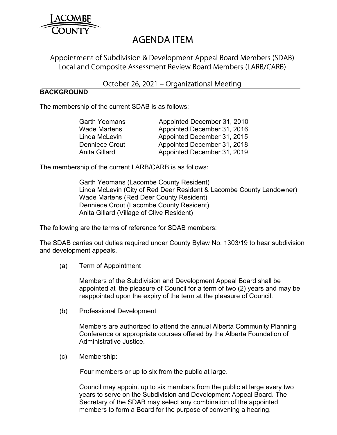

# AGENDA ITEM

# Appointment of Subdivision & Development Appeal Board Members (SDAB) Local and Composite Assessment Review Board Members (LARB/CARB)

## October 26, 2021 – Organizational Meeting

### **BACKGROUND**

The membership of the current SDAB is as follows:

| <b>Garth Yeomans</b>  | Appointed December 31, 2010 |
|-----------------------|-----------------------------|
| <b>Wade Martens</b>   | Appointed December 31, 2016 |
| Linda McLevin         | Appointed December 31, 2015 |
| <b>Denniece Crout</b> | Appointed December 31, 2018 |
| Anita Gillard         | Appointed December 31, 2019 |
|                       |                             |

The membership of the current LARB/CARB is as follows:

 Garth Yeomans (Lacombe County Resident) Linda McLevin (City of Red Deer Resident & Lacombe County Landowner) Wade Martens (Red Deer County Resident) Denniece Crout (Lacombe County Resident) Anita Gillard (Village of Clive Resident)

The following are the terms of reference for SDAB members:

The SDAB carries out duties required under County Bylaw No. 1303/19 to hear subdivision and development appeals.

(a) Term of Appointment

 Members of the Subdivision and Development Appeal Board shall be appointed at the pleasure of Council for a term of two (2) years and may be reappointed upon the expiry of the term at the pleasure of Council.

(b) Professional Development

 Members are authorized to attend the annual Alberta Community Planning Conference or appropriate courses offered by the Alberta Foundation of Administrative Justice.

(c) Membership:

Four members or up to six from the public at large.

 Council may appoint up to six members from the public at large every two years to serve on the Subdivision and Development Appeal Board. The Secretary of the SDAB may select any combination of the appointed members to form a Board for the purpose of convening a hearing.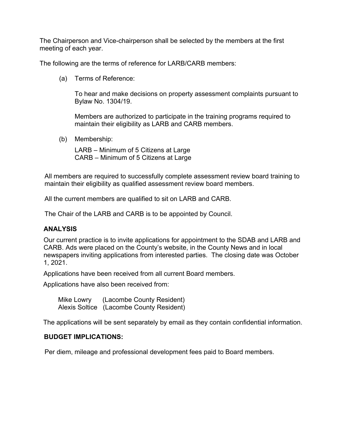The Chairperson and Vice-chairperson shall be selected by the members at the first meeting of each year.

The following are the terms of reference for LARB/CARB members:

(a) Terms of Reference:

To hear and make decisions on property assessment complaints pursuant to Bylaw No. 1304/19.

Members are authorized to participate in the training programs required to maintain their eligibility as LARB and CARB members.

(b) Membership:

 LARB – Minimum of 5 Citizens at Large CARB – Minimum of 5 Citizens at Large

All members are required to successfully complete assessment review board training to maintain their eligibility as qualified assessment review board members.

All the current members are qualified to sit on LARB and CARB.

The Chair of the LARB and CARB is to be appointed by Council.

#### **ANALYSIS**

Our current practice is to invite applications for appointment to the SDAB and LARB and CARB. Ads were placed on the County's website, in the County News and in local newspapers inviting applications from interested parties. The closing date was October 1, 2021.

Applications have been received from all current Board members.

Applications have also been received from:

 Mike Lowry (Lacombe County Resident) Alexis Soltice (Lacombe County Resident)

The applications will be sent separately by email as they contain confidential information.

#### **BUDGET IMPLICATIONS:**

Per diem, mileage and professional development fees paid to Board members.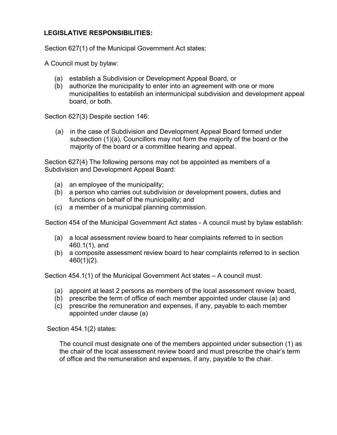## **LEGISLATIVE RESPONSIBILITIES:**

Section 627(1) of the Municipal Government Act states:

A Council must by bylaw:

- (a) establish a Subdivision or Development Appeal Board, or
- (b) authorize the municipality to enter into an agreement with one or more municipalities to establish an intermunicipal subdivision and development appeal board, or both.

Section 627(3) Despite section 146:

(a) in the case of Subdivision and Development Appeal Board formed under subsection (1)(a), Councillors may not form the majority of the board or the majority of the board or a committee hearing and appeal.

Section 627(4) The following persons may not be appointed as members of a Subdivision and Development Appeal Board:

- (a) an employee of the municipality;
- (b) a person who carries out subdivision or development powers, duties and functions on behalf of the municipality; and
- (c) a member of a municipal planning commission.

Section 454 of the Municipal Government Act states - A council must by bylaw establish:

- (a) a local assessment review board to hear complaints referred to in section 460.1(1), and
- (b) a composite assessment review board to hear complaints referred to in section 460(1)(2).

Section 454.1(1) of the Municipal Government Act states – A council must:

- (a) appoint at least 2 persons as members of the local assessment review board,
- (b) prescribe the term of office of each member appointed under clause (a) and
- (c) prescribe the remuneration and expenses, if any, payable to each member appointed under clause (a)

Section 454.1(2) states:

The council must designate one of the members appointed under subsection (1) as the chair of the local assessment review board and must prescribe the chair's term of office and the remuneration and expenses, if any, payable to the chair.